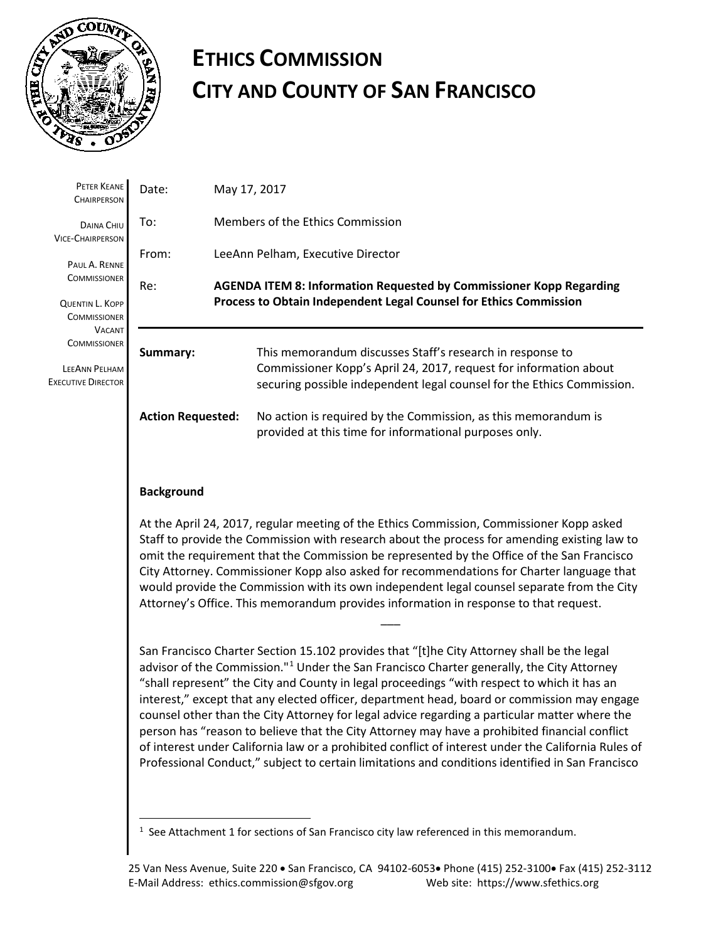

# **ETHICS COMMISSION CITY AND COUNTY OF SAN FRANCISCO**

| PETER KEANE<br><b>CHAIRPERSON</b>                                                                                                                                                                             | Date:                    | May 17, 2017                                                                                                                                                                                             |  |
|---------------------------------------------------------------------------------------------------------------------------------------------------------------------------------------------------------------|--------------------------|----------------------------------------------------------------------------------------------------------------------------------------------------------------------------------------------------------|--|
| DAINA CHIU<br><b>VICE-CHAIRPERSON</b><br>PAUL A. RENNE<br><b>COMMISSIONER</b><br>QUENTIN L. KOPP<br><b>COMMISSIONER</b><br><b>VACANT</b><br><b>COMMISSIONER</b><br>LEEANN PELHAM<br><b>EXECUTIVE DIRECTOR</b> | To:                      | Members of the Ethics Commission                                                                                                                                                                         |  |
|                                                                                                                                                                                                               | From:                    | LeeAnn Pelham, Executive Director                                                                                                                                                                        |  |
|                                                                                                                                                                                                               | Re:                      | <b>AGENDA ITEM 8: Information Requested by Commissioner Kopp Regarding</b><br>Process to Obtain Independent Legal Counsel for Ethics Commission                                                          |  |
|                                                                                                                                                                                                               | Summary:                 | This memorandum discusses Staff's research in response to<br>Commissioner Kopp's April 24, 2017, request for information about<br>securing possible independent legal counsel for the Ethics Commission. |  |
|                                                                                                                                                                                                               | <b>Action Requested:</b> | No action is required by the Commission, as this memorandum is<br>provided at this time for informational purposes only.                                                                                 |  |

# **Background**

 $\overline{a}$ 

At the April 24, 2017, regular meeting of the Ethics Commission, Commissioner Kopp asked Staff to provide the Commission with research about the process for amending existing law to omit the requirement that the Commission be represented by the Office of the San Francisco City Attorney. Commissioner Kopp also asked for recommendations for Charter language that would provide the Commission with its own independent legal counsel separate from the City Attorney's Office. This memorandum provides information in response to that request.

 $\overline{\phantom{a}}$ 

San Francisco Charter Section 15.102 provides that "[t]he City Attorney shall be the legal advisor of the Commission."<sup>[1](#page-0-0)</sup> Under the San Francisco Charter generally, the City Attorney "shall represent" the City and County in legal proceedings "with respect to which it has an interest," except that any elected officer, department head, board or commission may engage counsel other than the City Attorney for legal advice regarding a particular matter where the person has "reason to believe that the City Attorney may have a prohibited financial conflict of interest under California law or a prohibited conflict of interest under the California Rules of Professional Conduct," subject to certain limitations and conditions identified in San Francisco

<span id="page-0-0"></span> $<sup>1</sup>$  See Attachment 1 for sections of San Francisco city law referenced in this memorandum.</sup>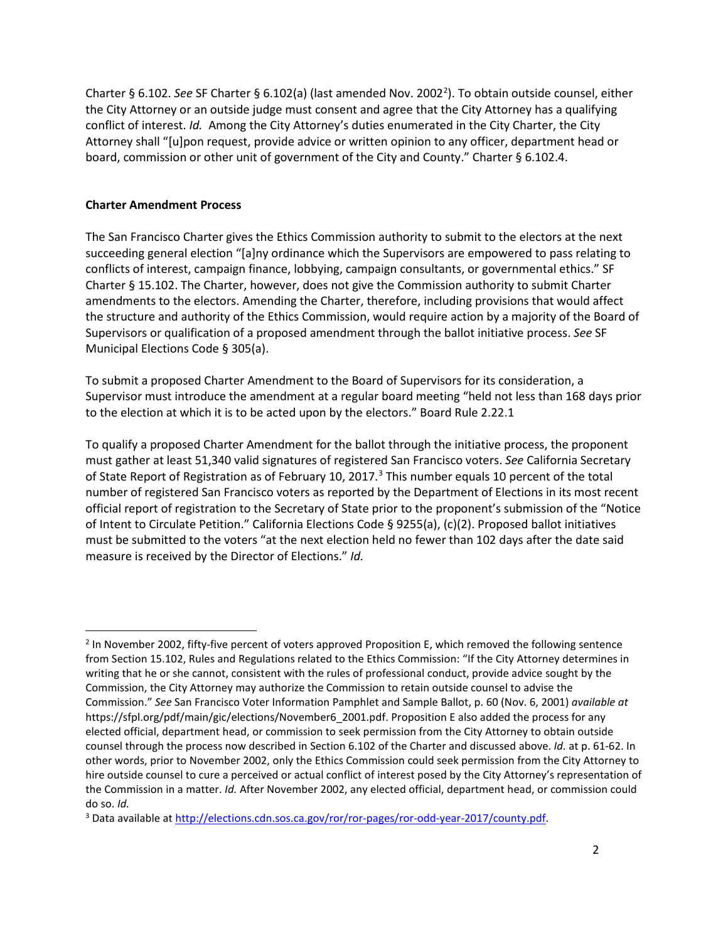Charter § 6.10[2](#page-1-0). See SF Charter § 6.102(a) (last amended Nov. 2002<sup>2</sup>). To obtain outside counsel, either the City Attorney or an outside judge must consent and agree that the City Attorney has a qualifying conflict of interest. *Id.* Among the City Attorney's duties enumerated in the City Charter, the City Attorney shall "[u]pon request, provide advice or written opinion to any officer, department head or board, commission or other unit of government of the City and County." Charter § 6.102.4.

# **Charter Amendment Process**

The San Francisco Charter gives the Ethics Commission authority to submit to the electors at the next succeeding general election "[a]ny ordinance which the Supervisors are empowered to pass relating to conflicts of interest, campaign finance, lobbying, campaign consultants, or governmental ethics." SF Charter § 15.102. The Charter, however, does not give the Commission authority to submit Charter amendments to the electors. Amending the Charter, therefore, including provisions that would affect the structure and authority of the Ethics Commission, would require action by a majority of the Board of Supervisors or qualification of a proposed amendment through the ballot initiative process. *See* SF Municipal Elections Code § 305(a).

To submit a proposed Charter Amendment to the Board of Supervisors for its consideration, a Supervisor must introduce the amendment at a regular board meeting "held not less than 168 days prior to the election at which it is to be acted upon by the electors." Board Rule 2.22.1

To qualify a proposed Charter Amendment for the ballot through the initiative process, the proponent must gather at least 51,340 valid signatures of registered San Francisco voters. *See* California Secretary of State Report of Registration as of February 10, 2017.<sup>[3](#page-1-1)</sup> This number equals 10 percent of the total number of registered San Francisco voters as reported by the Department of Elections in its most recent official report of registration to the Secretary of State prior to the proponent's submission of the "Notice of Intent to Circulate Petition." California Elections Code § 9255(a), (c)(2). Proposed ballot initiatives must be submitted to the voters "at the next election held no fewer than 102 days after the date said measure is received by the Director of Elections." *Id.*

<span id="page-1-0"></span><sup>&</sup>lt;sup>2</sup> In November 2002, fifty-five percent of voters approved Proposition E, which removed the following sentence from Section 15.102, Rules and Regulations related to the Ethics Commission: "If the City Attorney determines in writing that he or she cannot, consistent with the rules of professional conduct, provide advice sought by the Commission, the City Attorney may authorize the Commission to retain outside counsel to advise the Commission." *See* San Francisco Voter Information Pamphlet and Sample Ballot, p. 60 (Nov. 6, 2001) *available at*  https://sfpl.org/pdf/main/gic/elections/November6\_2001.pdf. Proposition E also added the process for any elected official, department head, or commission to seek permission from the City Attorney to obtain outside counsel through the process now described in Section 6.102 of the Charter and discussed above. *Id.* at p. 61-62. In other words, prior to November 2002, only the Ethics Commission could seek permission from the City Attorney to hire outside counsel to cure a perceived or actual conflict of interest posed by the City Attorney's representation of the Commission in a matter. *Id.* After November 2002, any elected official, department head, or commission could do so. *Id.*

<span id="page-1-1"></span><sup>3</sup> Data available a[t http://elections.cdn.sos.ca.gov/ror/ror-pages/ror-odd-year-2017/county.pdf.](http://elections.cdn.sos.ca.gov/ror/ror-pages/ror-odd-year-2017/county.pdf)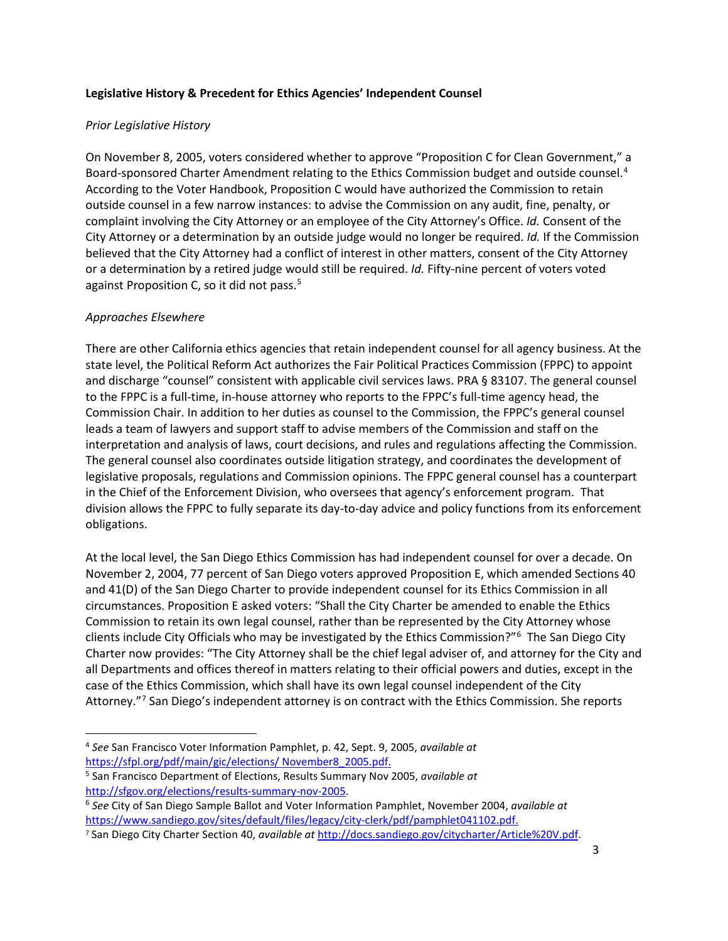## **Legislative History & Precedent for Ethics Agencies' Independent Counsel**

## *Prior Legislative History*

On November 8, 2005, voters considered whether to approve "Proposition C for Clean Government," a Board-sponsored Charter Amendment relating to the Ethics Commission budget and outside counsel.<sup>[4](#page-2-0)</sup> According to the Voter Handbook, Proposition C would have authorized the Commission to retain outside counsel in a few narrow instances: to advise the Commission on any audit, fine, penalty, or complaint involving the City Attorney or an employee of the City Attorney's Office. *Id.* Consent of the City Attorney or a determination by an outside judge would no longer be required. *Id.* If the Commission believed that the City Attorney had a conflict of interest in other matters, consent of the City Attorney or a determination by a retired judge would still be required. *Id.* Fifty-nine percent of voters voted against Proposition C, so it did not pass.<sup>[5](#page-2-1)</sup>

## *Approaches Elsewhere*

There are other California ethics agencies that retain independent counsel for all agency business. At the state level, the Political Reform Act authorizes the Fair Political Practices Commission (FPPC) to appoint and discharge "counsel" consistent with applicable civil services laws. PRA § 83107. The general counsel to the FPPC is a full-time, in-house attorney who reports to the FPPC's full-time agency head, the Commission Chair. In addition to her duties as counsel to the Commission, the FPPC's general counsel leads a team of lawyers and support staff to advise members of the Commission and staff on the interpretation and analysis of laws, court decisions, and rules and regulations affecting the Commission. The general counsel also coordinates outside litigation strategy, and coordinates the development of legislative proposals, regulations and Commission opinions. The FPPC general counsel has a counterpart in the Chief of the Enforcement Division, who oversees that agency's enforcement program. That division allows the FPPC to fully separate its day-to-day advice and policy functions from its enforcement obligations.

At the local level, the San Diego Ethics Commission has had independent counsel for over a decade. On November 2, 2004, 77 percent of San Diego voters approved Proposition E, which amended Sections 40 and 41(D) of the San Diego Charter to provide independent counsel for its Ethics Commission in all circumstances. Proposition E asked voters: "Shall the City Charter be amended to enable the Ethics Commission to retain its own legal counsel, rather than be represented by the City Attorney whose clients include City Officials who may be investigated by the Ethics Commission?"[6](#page-2-2) The San Diego City Charter now provides: "The City Attorney shall be the chief legal adviser of, and attorney for the City and all Departments and offices thereof in matters relating to their official powers and duties, except in the case of the Ethics Commission, which shall have its own legal counsel independent of the City Attorney."[7](#page-2-3) San Diego's independent attorney is on contract with the Ethics Commission. She reports

<span id="page-2-0"></span><sup>4</sup> *See* San Francisco Voter Information Pamphlet, p. 42, Sept. 9, 2005, *available at* [https://sfpl.org/pdf/main/gic/elections/ November8\\_2005.pdf.](https://sfpl.org/pdf/main/gic/elections/%20November8_2005.pdf)

<span id="page-2-1"></span><sup>5</sup> San Francisco Department of Elections, Results Summary Nov 2005, *available at*

<span id="page-2-2"></span>[http://sfgov.org/elections/results-summary-nov-2005.](http://sfgov.org/elections/results-summary-nov-2005) 6 *See* City of San Diego Sample Ballot and Voter Information Pamphlet, November 2004, *available at* [https://www.sandiego.gov/sites/default/files/legacy/city-clerk/pdf/pamphlet041102.pdf.](https://www.sandiego.gov/sites/default/files/legacy/city-clerk/pdf/pamphlet041102.pdf)

<span id="page-2-3"></span><sup>7</sup> San Diego City Charter Section 40, *available at* [http://docs.sandiego.gov/citycharter/Article%20V.pdf.](http://docs.sandiego.gov/citycharter/Article%20V.pdf)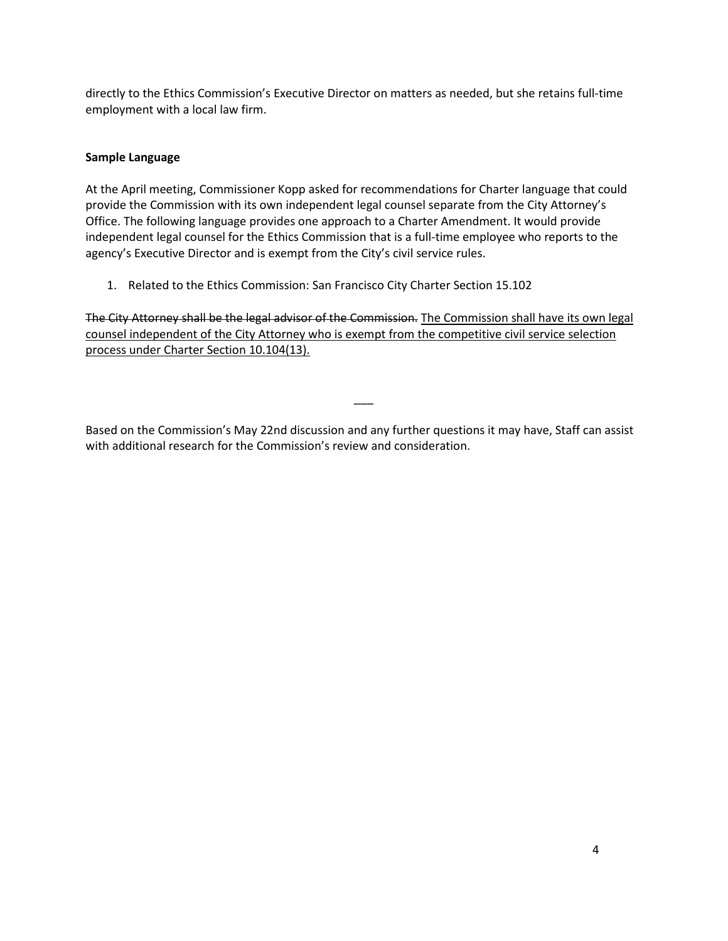directly to the Ethics Commission's Executive Director on matters as needed, but she retains full-time employment with a local law firm.

## **Sample Language**

At the April meeting, Commissioner Kopp asked for recommendations for Charter language that could provide the Commission with its own independent legal counsel separate from the City Attorney's Office. The following language provides one approach to a Charter Amendment. It would provide independent legal counsel for the Ethics Commission that is a full-time employee who reports to the agency's Executive Director and is exempt from the City's civil service rules.

1. Related to the Ethics Commission: San Francisco City Charter Section 15.102

The City Attorney shall be the legal advisor of the Commission. The Commission shall have its own legal counsel independent of the City Attorney who is exempt from the competitive civil service selection process under Charter Section 10.104(13).

Based on the Commission's May 22nd discussion and any further questions it may have, Staff can assist with additional research for the Commission's review and consideration.

 $\overline{\phantom{a}}$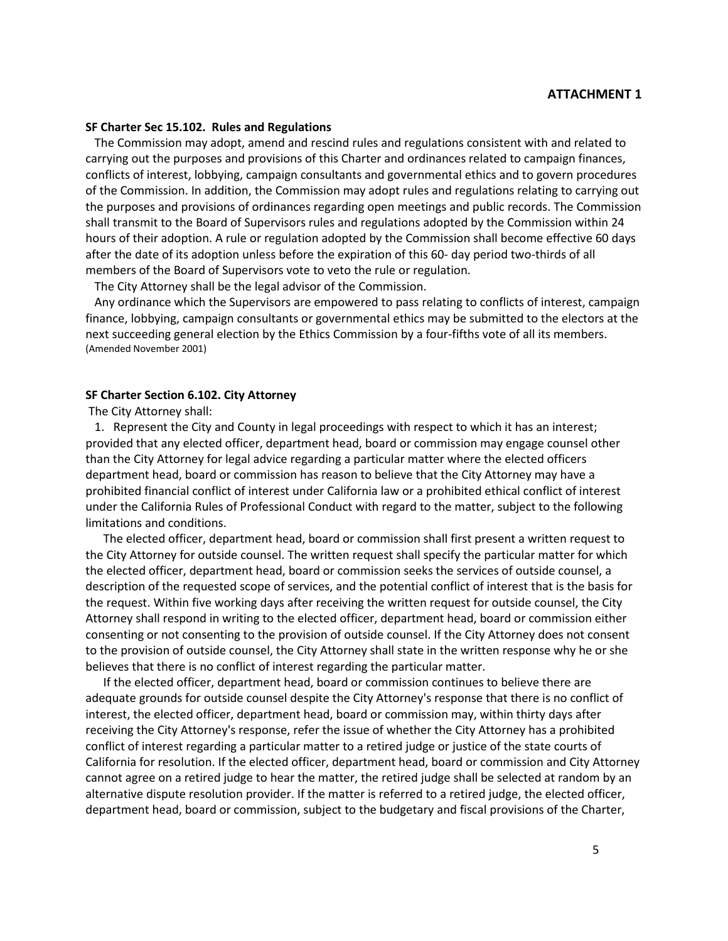# **Agenda Item 8, Attachment 1**

## **SF Charter Sec 15.102. Rules and Regulations**

 The Commission may adopt, amend and rescind rules and regulations consistent with and related to carrying out the purposes and provisions of this Charter and ordinances related to campaign finances, conflicts of interest, lobbying, campaign consultants and governmental ethics and to govern procedures of the Commission. In addition, the Commission may adopt rules and regulations relating to carrying out the purposes and provisions of ordinances regarding open meetings and public records. The Commission shall transmit to the Board of Supervisors rules and regulations adopted by the Commission within 24 hours of their adoption. A rule or regulation adopted by the Commission shall become effective 60 days after the date of its adoption unless before the expiration of this 60- day period two-thirds of all members of the Board of Supervisors vote to veto the rule or regulation.

The City Attorney shall be the legal advisor of the Commission.

 Any ordinance which the Supervisors are empowered to pass relating to conflicts of interest, campaign finance, lobbying, campaign consultants or governmental ethics may be submitted to the electors at the next succeeding general election by the Ethics Commission by a four-fifths vote of all its members. (Amended November 2001)

### **SF Charter Section 6.102. City Attorney**

## The City Attorney shall:

1. Represent the City and County in legal proceedings with respect to which it has an interest; provided that any elected officer, department head, board or commission may engage counsel other than the City Attorney for legal advice regarding a particular matter where the elected officers department head, board or commission has reason to believe that the City Attorney may have a prohibited financial conflict of interest under California law or a prohibited ethical conflict of interest under the California Rules of Professional Conduct with regard to the matter, subject to the following limitations and conditions.

 The elected officer, department head, board or commission shall first present a written request to the City Attorney for outside counsel. The written request shall specify the particular matter for which the elected officer, department head, board or commission seeks the services of outside counsel, a description of the requested scope of services, and the potential conflict of interest that is the basis for the request. Within five working days after receiving the written request for outside counsel, the City Attorney shall respond in writing to the elected officer, department head, board or commission either consenting or not consenting to the provision of outside counsel. If the City Attorney does not consent to the provision of outside counsel, the City Attorney shall state in the written response why he or she believes that there is no conflict of interest regarding the particular matter.

 If the elected officer, department head, board or commission continues to believe there are adequate grounds for outside counsel despite the City Attorney's response that there is no conflict of interest, the elected officer, department head, board or commission may, within thirty days after receiving the City Attorney's response, refer the issue of whether the City Attorney has a prohibited conflict of interest regarding a particular matter to a retired judge or justice of the state courts of California for resolution. If the elected officer, department head, board or commission and City Attorney cannot agree on a retired judge to hear the matter, the retired judge shall be selected at random by an alternative dispute resolution provider. If the matter is referred to a retired judge, the elected officer, department head, board or commission, subject to the budgetary and fiscal provisions of the Charter,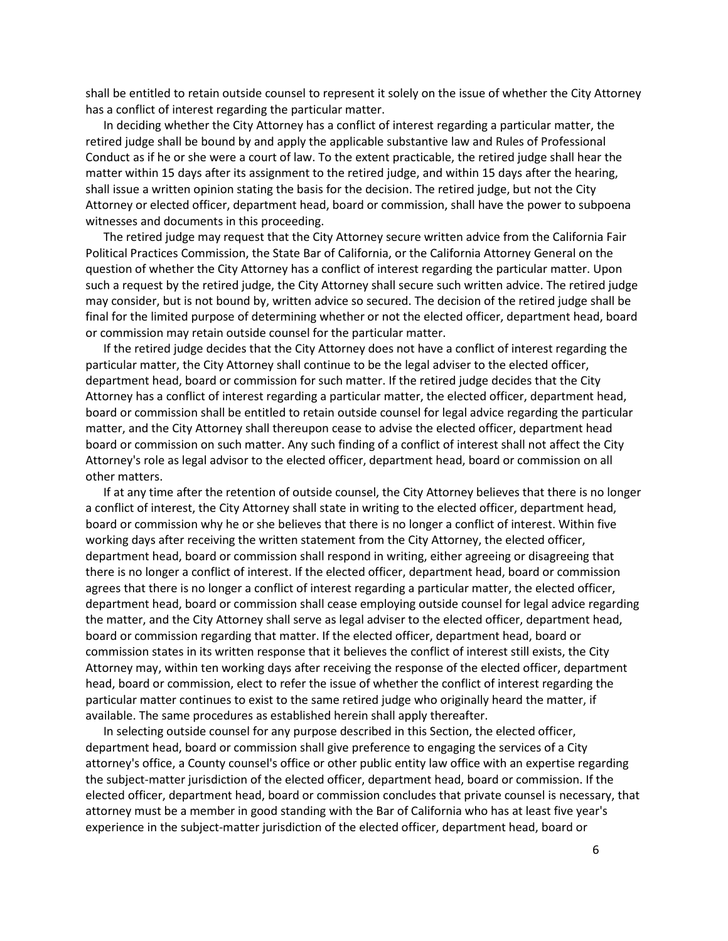shall be entitled to retain outside counsel to represent it solely on the issue of whether the City Attorney has a conflict of interest regarding the particular matter.

 In deciding whether the City Attorney has a conflict of interest regarding a particular matter, the retired judge shall be bound by and apply the applicable substantive law and Rules of Professional Conduct as if he or she were a court of law. To the extent practicable, the retired judge shall hear the matter within 15 days after its assignment to the retired judge, and within 15 days after the hearing, shall issue a written opinion stating the basis for the decision. The retired judge, but not the City Attorney or elected officer, department head, board or commission, shall have the power to subpoena witnesses and documents in this proceeding.

 The retired judge may request that the City Attorney secure written advice from the California Fair Political Practices Commission, the State Bar of California, or the California Attorney General on the question of whether the City Attorney has a conflict of interest regarding the particular matter. Upon such a request by the retired judge, the City Attorney shall secure such written advice. The retired judge may consider, but is not bound by, written advice so secured. The decision of the retired judge shall be final for the limited purpose of determining whether or not the elected officer, department head, board or commission may retain outside counsel for the particular matter.

 If the retired judge decides that the City Attorney does not have a conflict of interest regarding the particular matter, the City Attorney shall continue to be the legal adviser to the elected officer, department head, board or commission for such matter. If the retired judge decides that the City Attorney has a conflict of interest regarding a particular matter, the elected officer, department head, board or commission shall be entitled to retain outside counsel for legal advice regarding the particular matter, and the City Attorney shall thereupon cease to advise the elected officer, department head board or commission on such matter. Any such finding of a conflict of interest shall not affect the City Attorney's role as legal advisor to the elected officer, department head, board or commission on all other matters.

 If at any time after the retention of outside counsel, the City Attorney believes that there is no longer a conflict of interest, the City Attorney shall state in writing to the elected officer, department head, board or commission why he or she believes that there is no longer a conflict of interest. Within five working days after receiving the written statement from the City Attorney, the elected officer, department head, board or commission shall respond in writing, either agreeing or disagreeing that there is no longer a conflict of interest. If the elected officer, department head, board or commission agrees that there is no longer a conflict of interest regarding a particular matter, the elected officer, department head, board or commission shall cease employing outside counsel for legal advice regarding the matter, and the City Attorney shall serve as legal adviser to the elected officer, department head, board or commission regarding that matter. If the elected officer, department head, board or commission states in its written response that it believes the conflict of interest still exists, the City Attorney may, within ten working days after receiving the response of the elected officer, department head, board or commission, elect to refer the issue of whether the conflict of interest regarding the particular matter continues to exist to the same retired judge who originally heard the matter, if available. The same procedures as established herein shall apply thereafter.

 In selecting outside counsel for any purpose described in this Section, the elected officer, department head, board or commission shall give preference to engaging the services of a City attorney's office, a County counsel's office or other public entity law office with an expertise regarding the subject-matter jurisdiction of the elected officer, department head, board or commission. If the elected officer, department head, board or commission concludes that private counsel is necessary, that attorney must be a member in good standing with the Bar of California who has at least five year's experience in the subject-matter jurisdiction of the elected officer, department head, board or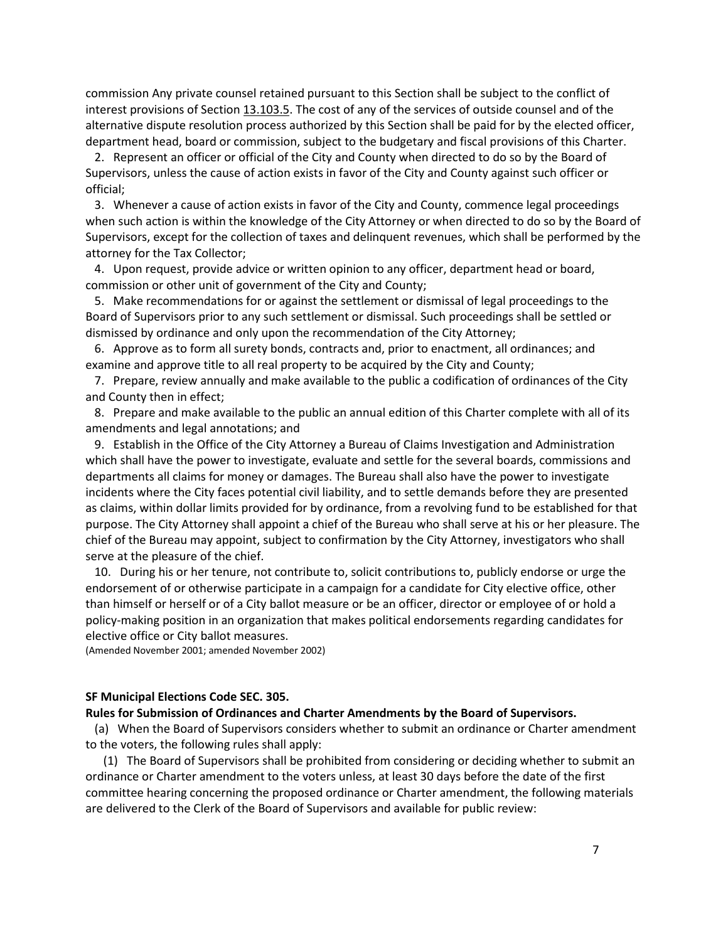commission Any private counsel retained pursuant to this Section shall be subject to the conflict of interest provisions of Section [13.103.5.](http://library.amlegal.com/nxt/gateway.dll?f=jumplink$jumplink_x=Advanced$jumplink_vpc=first$jumplink_xsl=querylink.xsl$jumplink_sel=title;path;content-type;home-title;item-bookmark$jumplink_d=california(charter_sf)$jumplink_q=%5bfield%20folio-destination-name:%2713.103.5%27%5d$jumplink_md=target-id=JD_13.103.5) The cost of any of the services of outside counsel and of the alternative dispute resolution process authorized by this Section shall be paid for by the elected officer, department head, board or commission, subject to the budgetary and fiscal provisions of this Charter.

2. Represent an officer or official of the City and County when directed to do so by the Board of Supervisors, unless the cause of action exists in favor of the City and County against such officer or official;

3. Whenever a cause of action exists in favor of the City and County, commence legal proceedings when such action is within the knowledge of the City Attorney or when directed to do so by the Board of Supervisors, except for the collection of taxes and delinquent revenues, which shall be performed by the attorney for the Tax Collector;

4. Upon request, provide advice or written opinion to any officer, department head or board, commission or other unit of government of the City and County;

5. Make recommendations for or against the settlement or dismissal of legal proceedings to the Board of Supervisors prior to any such settlement or dismissal. Such proceedings shall be settled or dismissed by ordinance and only upon the recommendation of the City Attorney;

6. Approve as to form all surety bonds, contracts and, prior to enactment, all ordinances; and examine and approve title to all real property to be acquired by the City and County;

7. Prepare, review annually and make available to the public a codification of ordinances of the City and County then in effect;

8. Prepare and make available to the public an annual edition of this Charter complete with all of its amendments and legal annotations; and

9. Establish in the Office of the City Attorney a Bureau of Claims Investigation and Administration which shall have the power to investigate, evaluate and settle for the several boards, commissions and departments all claims for money or damages. The Bureau shall also have the power to investigate incidents where the City faces potential civil liability, and to settle demands before they are presented as claims, within dollar limits provided for by ordinance, from a revolving fund to be established for that purpose. The City Attorney shall appoint a chief of the Bureau who shall serve at his or her pleasure. The chief of the Bureau may appoint, subject to confirmation by the City Attorney, investigators who shall serve at the pleasure of the chief.

10. During his or her tenure, not contribute to, solicit contributions to, publicly endorse or urge the endorsement of or otherwise participate in a campaign for a candidate for City elective office, other than himself or herself or of a City ballot measure or be an officer, director or employee of or hold a policy-making position in an organization that makes political endorsements regarding candidates for elective office or City ballot measures.

(Amended November 2001; amended November 2002)

#### **SF Municipal Elections Code SEC. 305.**

### **Rules for Submission of Ordinances and Charter Amendments by the Board of Supervisors.**

(a) When the Board of Supervisors considers whether to submit an ordinance or Charter amendment to the voters, the following rules shall apply:

(1) The Board of Supervisors shall be prohibited from considering or deciding whether to submit an ordinance or Charter amendment to the voters unless, at least 30 days before the date of the first committee hearing concerning the proposed ordinance or Charter amendment, the following materials are delivered to the Clerk of the Board of Supervisors and available for public review: